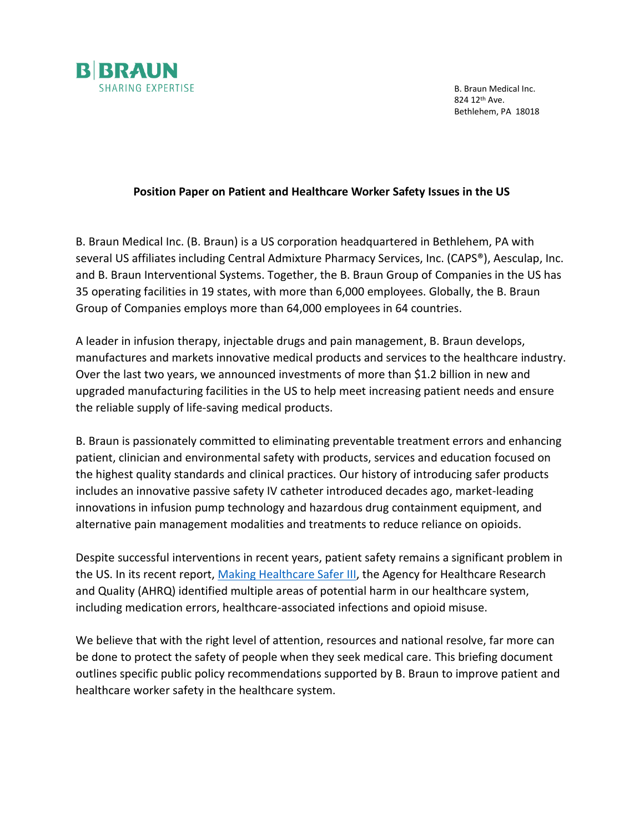

B. Braun Medical Inc. 824 12th Ave. Bethlehem, PA 18018

### **Position Paper on Patient and Healthcare Worker Safety Issues in the US**

B. Braun Medical Inc. (B. Braun) is a US corporation headquartered in Bethlehem, PA with several US affiliates including Central Admixture Pharmacy Services, Inc. (CAPS®), Aesculap, Inc. and B. Braun Interventional Systems. Together, the B. Braun Group of Companies in the US has 35 operating facilities in 19 states, with more than 6,000 employees. Globally, the B. Braun Group of Companies employs more than 64,000 employees in 64 countries.

A leader in infusion therapy, injectable drugs and pain management, B. Braun develops, manufactures and markets innovative medical products and services to the healthcare industry. Over the last two years, we announced investments of more than \$1.2 billion in new and upgraded manufacturing facilities in the US to help meet increasing patient needs and ensure the reliable supply of life-saving medical products.

B. Braun is passionately committed to eliminating preventable treatment errors and enhancing patient, clinician and environmental safety with products, services and education focused on the highest quality standards and clinical practices. Our history of introducing safer products includes an innovative passive safety IV catheter introduced decades ago, market-leading innovations in infusion pump technology and hazardous drug containment equipment, and alternative pain management modalities and treatments to reduce reliance on opioids.

Despite successful interventions in recent years, patient safety remains a significant problem in the US. In its recent report, [Making Healthcare Safer III,](https://www.ahrq.gov/research/findings/making-healthcare-safer/mhs3/index.html) the Agency for Healthcare Research and Quality (AHRQ) identified multiple areas of potential harm in our healthcare system, including medication errors, healthcare-associated infections and opioid misuse.

We believe that with the right level of attention, resources and national resolve, far more can be done to protect the safety of people when they seek medical care. This briefing document outlines specific public policy recommendations supported by B. Braun to improve patient and healthcare worker safety in the healthcare system.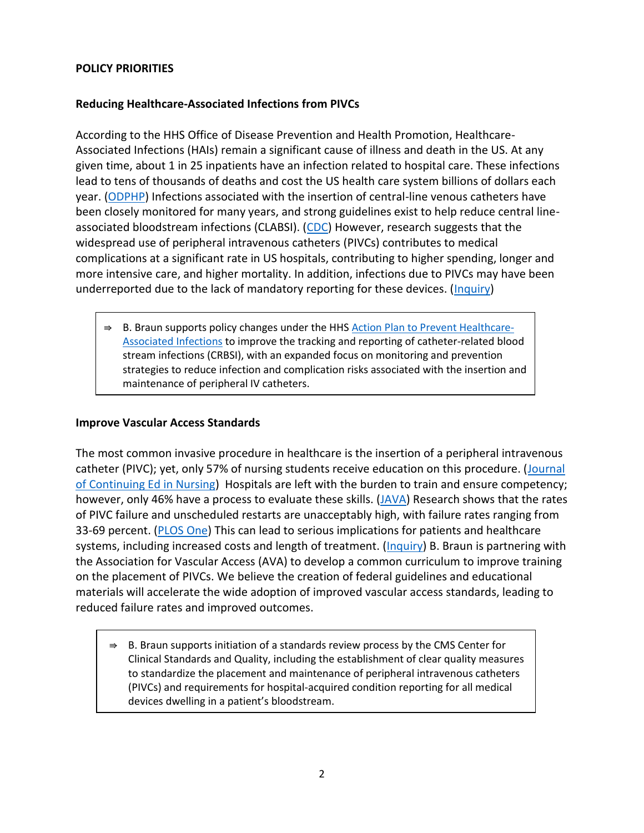## **POLICY PRIORITIES**

## **Reducing Healthcare-Associated Infections from PIVCs**

According to the HHS Office of Disease Prevention and Health Promotion, Healthcare-Associated Infections (HAIs) remain a significant cause of illness and death in the US. At any given time, about 1 in 25 inpatients have an infection related to hospital care. These infections lead to tens of thousands of deaths and cost the US health care system billions of dollars each year. [\(ODPHP\)](https://health.gov/our-work/health-care-quality/health-care-associated-infections) Infections associated with the insertion of central-line venous catheters have been closely monitored for many years, and strong guidelines exist to help reduce central lineassociated bloodstream infections (CLABSI). [\(CDC\)](https://health.gov/our-work/health-care-quality/health-care-associated-infections/targets-metrics) However, research suggests that the widespread use of peripheral intravenous catheters (PIVCs) contributes to medical complications at a significant rate in US hospitals, contributing to higher spending, longer and more intensive care, and higher mortality. In addition, infections due to PIVCs may have been underreported due to the lack of mandatory reporting for these devices. [\(Inquiry\)](https://www.ncbi.nlm.nih.gov/pmc/articles/PMC6747868/)

B. Braun supports policy changes under the HHS [Action Plan to Prevent Healthcare-](https://health.gov/our-work/health-care-quality/health-care-associated-infections/national-hai-action-plan)[Associated Infections](https://health.gov/our-work/health-care-quality/health-care-associated-infections/national-hai-action-plan) to improve the tracking and reporting of catheter-related blood stream infections (CRBSI), with an expanded focus on monitoring and prevention strategies to reduce infection and complication risks associated with the insertion and maintenance of peripheral IV catheters.

# **Improve Vascular Access Standards**

The most common invasive procedure in healthcare is the insertion of a peripheral intravenous catheter (PIVC); yet, only 57% of nursing students receive education on this procedure. [\(Journal](https://pubmed.ncbi.nlm.nih.gov/28850656/)  [of Continuing Ed in Nursing\)](https://pubmed.ncbi.nlm.nih.gov/28850656/) Hospitals are left with the burden to train and ensure competency; however, only 46% have a process to evaluate these skills. [\(JAVA\)](https://www.researchgate.net/publication/331474025_Addressing_the_Silence_a_Need_for_Peripheral_Intravenous_Education_in_North_America) Research shows that the rates of PIVC failure and unscheduled restarts are unacceptably high, with failure rates ranging from 33-69 percent. [\(PLOS One\)](https://www.ncbi.nlm.nih.gov/pmc/articles/PMC5831386/) This can lead to serious implications for patients and healthcare systems, including increased costs and length of treatment. [\(Inquiry\)](https://www.ncbi.nlm.nih.gov/pmc/articles/PMC6747868/) B. Braun is partnering with the Association for Vascular Access (AVA) to develop a common curriculum to improve training on the placement of PIVCs. We believe the creation of federal guidelines and educational materials will accelerate the wide adoption of improved vascular access standards, leading to reduced failure rates and improved outcomes.

 $\Rightarrow$  B. Braun supports initiation of a standards review process by the CMS Center for Clinical Standards and Quality, including the establishment of clear quality measures to standardize the placement and maintenance of peripheral intravenous catheters (PIVCs) and requirements for hospital-acquired condition reporting for all medical devices dwelling in a patient's bloodstream.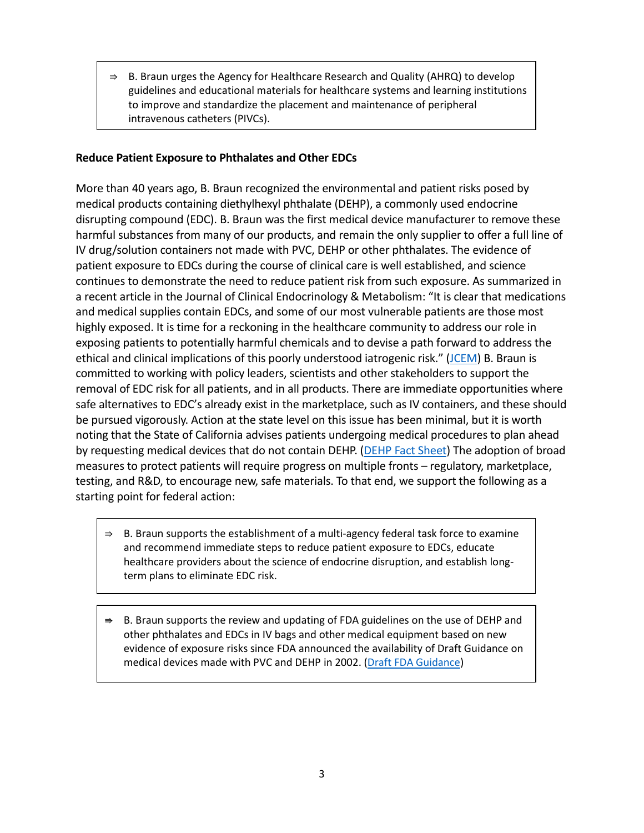B. Braun urges the Agency for Healthcare Research and Quality (AHRQ) to develop guidelines and educational materials for healthcare systems and learning institutions to improve and standardize the placement and maintenance of peripheral intravenous catheters (PIVCs).

### **Reduce Patient Exposure to Phthalates and Other EDCs**

More than 40 years ago, B. Braun recognized the environmental and patient risks posed by medical products containing diethylhexyl phthalate (DEHP), a commonly used endocrine disrupting compound (EDC). B. Braun was the first medical device manufacturer to remove these harmful substances from many of our products, and remain the only supplier to offer a full line of IV drug/solution containers not made with PVC, DEHP or other phthalates. The evidence of patient exposure to EDCs during the course of clinical care is well established, and science continues to demonstrate the need to reduce patient risk from such exposure. As summarized in a recent article in the Journal of Clinical Endocrinology & Metabolism: "It is clear that medications and medical supplies contain EDCs, and some of our most vulnerable patients are those most highly exposed. It is time for a reckoning in the healthcare community to address our role in exposing patients to potentially harmful chemicals and to devise a path forward to address the ethical and clinical implications of this poorly understood iatrogenic risk." ([JCEM\)](https://www.ncbi.nlm.nih.gov/pmc/articles/PMC7442273/) B. Braun is committed to working with policy leaders, scientists and other stakeholders to support the removal of EDC risk for all patients, and in all products. There are immediate opportunities where safe alternatives to EDC's already exist in the marketplace, such as IV containers, and these should be pursued vigorously. Action at the state level on this issue has been minimal, but it is worth noting that the State of California advises patients undergoing medical procedures to plan ahead by requesting medical devices that do not contain DEHP. [\(DEHP Fact Sheet\)](https://www.p65warnings.ca.gov/fact-sheets/di2-ethylhexylphthalate-dehp) The adoption of broad measures to protect patients will require progress on multiple fronts – regulatory, marketplace, testing, and R&D, to encourage new, safe materials. To that end, we support the following as a starting point for federal action:

- $\Rightarrow$  B. Braun supports the establishment of a multi-agency federal task force to examine and recommend immediate steps to reduce patient exposure to EDCs, educate healthcare providers about the science of endocrine disruption, and establish longterm plans to eliminate EDC risk.
- B. Braun supports the review and updating of FDA guidelines on the use of DEHP and other phthalates and EDCs in IV bags and other medical equipment based on new evidence of exposure risks since FDA announced the availability of Draft Guidance on medical devices made with PVC and DEHP in 2002. [\(Draft FDA Guidance\)](https://www.govinfo.gov/content/pkg/FR-2002-09-06/pdf/02-22687.pdf)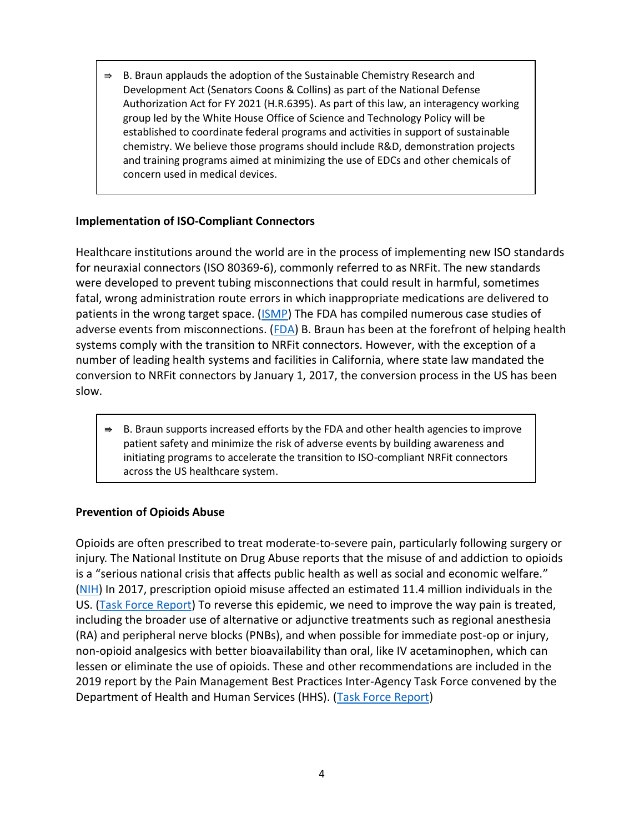B. Braun applauds the adoption of the Sustainable Chemistry Research and Development Act (Senators Coons & Collins) as part of the National Defense Authorization Act for FY 2021 (H.R.6395). As part of this law, an interagency working group led by the White House Office of Science and Technology Policy will be established to coordinate federal programs and activities in support of sustainable chemistry. We believe those programs should include R&D, demonstration projects and training programs aimed at minimizing the use of EDCs and other chemicals of concern used in medical devices.

### **Implementation of ISO-Compliant Connectors**

Healthcare institutions around the world are in the process of implementing new ISO standards for neuraxial connectors (ISO 80369-6), commonly referred to as NRFit. The new standards were developed to prevent tubing misconnections that could result in harmful, sometimes fatal, wrong administration route errors in which inappropriate medications are delivered to patients in the wrong target space. [\(ISMP\)](https://ismp.org/resources/nrfit-global-fit-neuraxial-medication-safety) The FDA has compiled numerous case studies of adverse events from misconnections. [\(FDA\)](https://www.fda.gov/medical-devices/medical-device-connectors/examples-medical-device-misconnections) B. Braun has been at the forefront of helping health systems comply with the transition to NRFit connectors. However, with the exception of a number of leading health systems and facilities in California, where state law mandated the conversion to NRFit connectors by January 1, 2017, the conversion process in the US has been slow.

⇛ B. Braun supports increased efforts by the FDA and other health agencies to improve patient safety and minimize the risk of adverse events by building awareness and initiating programs to accelerate the transition to ISO-compliant NRFit connectors across the US healthcare system.

### **Prevention of Opioids Abuse**

Opioids are often prescribed to treat moderate-to-severe pain, particularly following surgery or injury. The National Institute on Drug Abuse reports that the misuse of and addiction to opioids is a "serious national crisis that affects public health as well as social and economic welfare." [\(NIH\)](https://www.drugabuse.gov/drug-topics/opioids/opioid-overdose-crisis) In 2017, prescription opioid misuse affected an estimated 11.4 million individuals in the US. [\(Task Force Report\)](https://www.hhs.gov/sites/default/files/pain-mgmt-best-practices-draft-final-report-05062019.pdf) To reverse this epidemic, we need to improve the way pain is treated, including the broader use of alternative or adjunctive treatments such as regional anesthesia (RA) and peripheral nerve blocks (PNBs), and when possible for immediate post-op or injury, non-opioid analgesics with better bioavailability than oral, like IV acetaminophen, which can lessen or eliminate the use of opioids. These and other recommendations are included in the 2019 report by the Pain Management Best Practices Inter-Agency Task Force convened by the Department of Health and Human Services (HHS). [\(Task Force Report\)](https://www.hhs.gov/sites/default/files/pain-mgmt-best-practices-draft-final-report-05062019.pdf)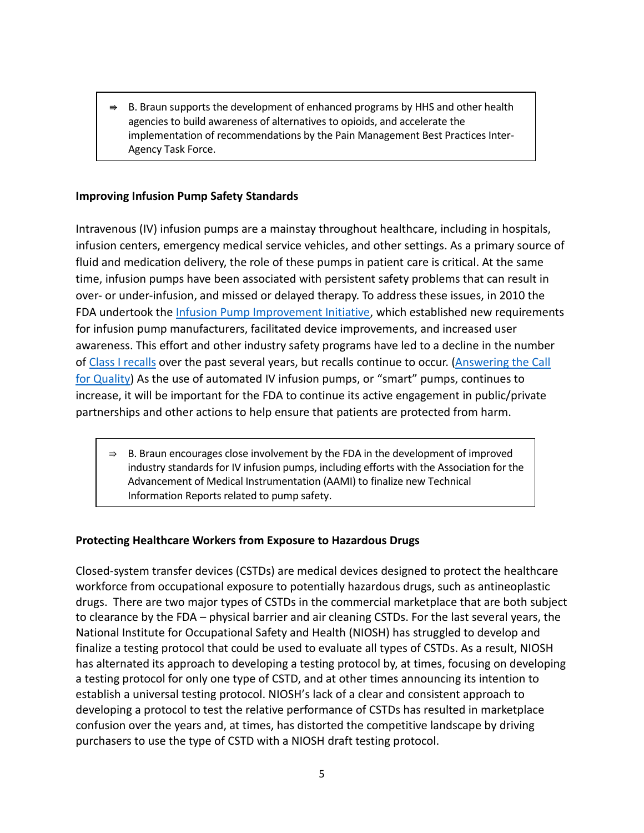$\Rightarrow$  B. Braun supports the development of enhanced programs by HHS and other health agencies to build awareness of alternatives to opioids, and accelerate the implementation of recommendations by the Pain Management Best Practices Inter-Agency Task Force.

### **Improving Infusion Pump Safety Standards**

Intravenous (IV) infusion pumps are a mainstay throughout healthcare, including in hospitals, infusion centers, emergency medical service vehicles, and other settings. As a primary source of fluid and medication delivery, the role of these pumps in patient care is critical. At the same time, infusion pumps have been associated with persistent safety problems that can result in over- or under-infusion, and missed or delayed therapy. To address these issues, in 2010 the FDA undertook the *Infusion Pump Improvement Initiative*, which established new requirements for infusion pump manufacturers, facilitated device improvements, and increased user awareness. This effort and other industry safety programs have led to a decline in the number o[f Class I recalls](https://www.accessdata.fda.gov/scripts/cdrh/cfdocs/cfRES/res.cfm) over the past several years, but recalls continue to occur. [\(Answering the Call](https://www.firstinquality.com/)  [for Quality\)](https://www.firstinquality.com/) As the use of automated IV infusion pumps, or "smart" pumps, continues to increase, it will be important for the FDA to continue its active engagement in public/private partnerships and other actions to help ensure that patients are protected from harm.

B. Braun encourages close involvement by the FDA in the development of improved industry standards for IV infusion pumps, including efforts with the Association for the Advancement of Medical Instrumentation (AAMI) to finalize new Technical Information Reports related to pump safety.

### **Protecting Healthcare Workers from Exposure to Hazardous Drugs**

Closed-system transfer devices (CSTDs) are medical devices designed to protect the healthcare workforce from occupational exposure to potentially hazardous drugs, such as antineoplastic drugs. There are two major types of CSTDs in the commercial marketplace that are both subject to clearance by the FDA – physical barrier and air cleaning CSTDs. For the last several years, the National Institute for Occupational Safety and Health (NIOSH) has struggled to develop and finalize a testing protocol that could be used to evaluate all types of CSTDs. As a result, NIOSH has alternated its approach to developing a testing protocol by, at times, focusing on developing a testing protocol for only one type of CSTD, and at other times announcing its intention to establish a universal testing protocol. NIOSH's lack of a clear and consistent approach to developing a protocol to test the relative performance of CSTDs has resulted in marketplace confusion over the years and, at times, has distorted the competitive landscape by driving purchasers to use the type of CSTD with a NIOSH draft testing protocol.